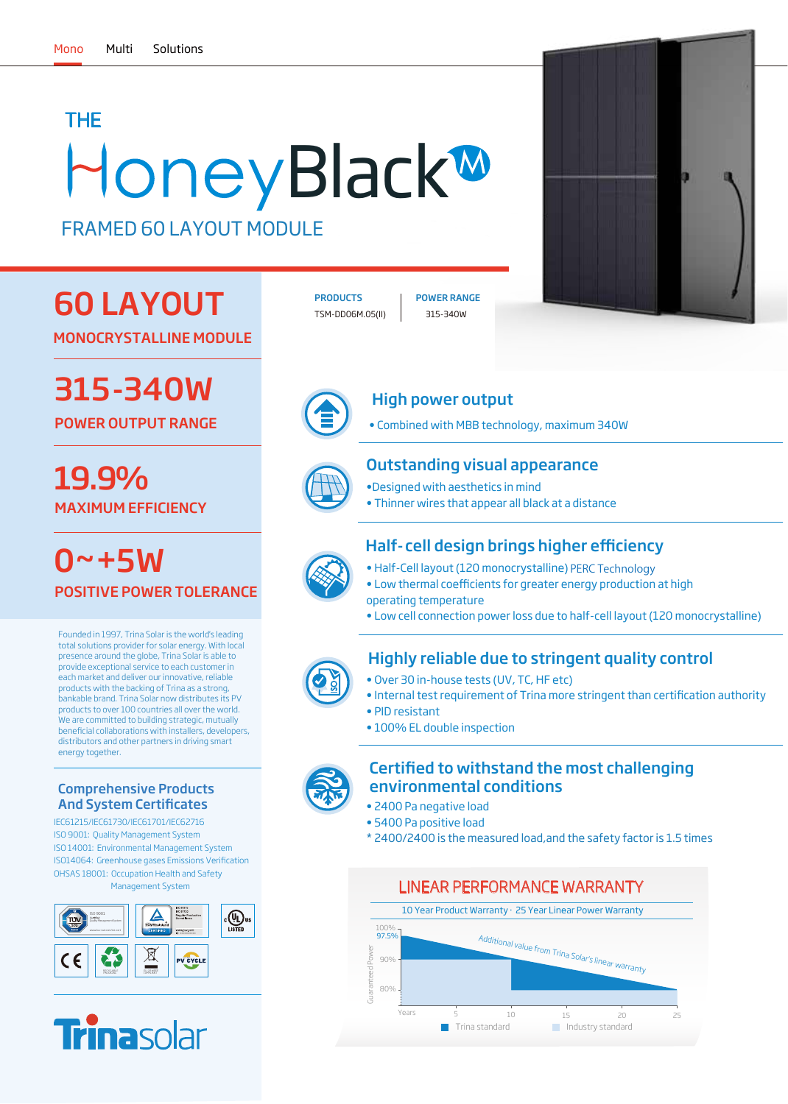# **HoneyBlack®** THE

FRAMED 60 LAYOUT MODULE

## 60 LAYOUT

MONOCRYSTALLINE MODULE

315-340W

POWER OUTPUT RANGE

MAXIMUM EFFICIENCY 19.9% **•Class of the Second With aesthetics in mind** 

0~+5W POSITIVE POWER TOLERANCE

Founded in 1997, Trina Solar is the world's leading total solutions provider for solar energy. With local presence around the globe, Trina Solar is able to provide exceptional service to each customer in each market and deliver our innovative, reliable products with the backing of Trina as a strong, bankable brand. Trina Solar now distributes its PV products to over 100 countries all over the world. We are committed to building strategic, mutually beneficial collaborations with installers, developers, distributors and other partners in driving smart energy together.

### Comprehensive Products **And System Certificates**

IEC61215/IEC61730/IEC61701/IEC62716 ISO 9001: Quality Management System ISO 14001: Environmental Management System ISO14064: Greenhouse gases Emissions Verification OHSAS 18001: Occupation Health and Safety Management System





TSM-DD06M.05(II) 315-340W PRODUCTS | POWER RANGE





## High power output

• Combined with MBB technology, maximum 340W

## Outstanding visual appearance

- 
- Thinner wires that appear all black at a distance

## Half-cell design brings higher efficiency

- Half-Cell layout (120 monocrystalline) PERC Technology
- Low thermal coefficients for greater energy production at high operating temperature
- Low cell connection power loss due to half-cell layout (120 monocrystalline)

## Highly reliable due to stringent quality control

- Over 30 in-house tests (UV, TC, HF etc)
- Internal test requirement of Trina more stringent than certification authority
- PID resistant
- 100% EL double inspection



### Certified to withstand the most challenging environmental conditions

- 2400 Pa negative load
- 5400 Pa positive load
- \* 2400/2400 is the measured load,and the safety factor is 1.5 times